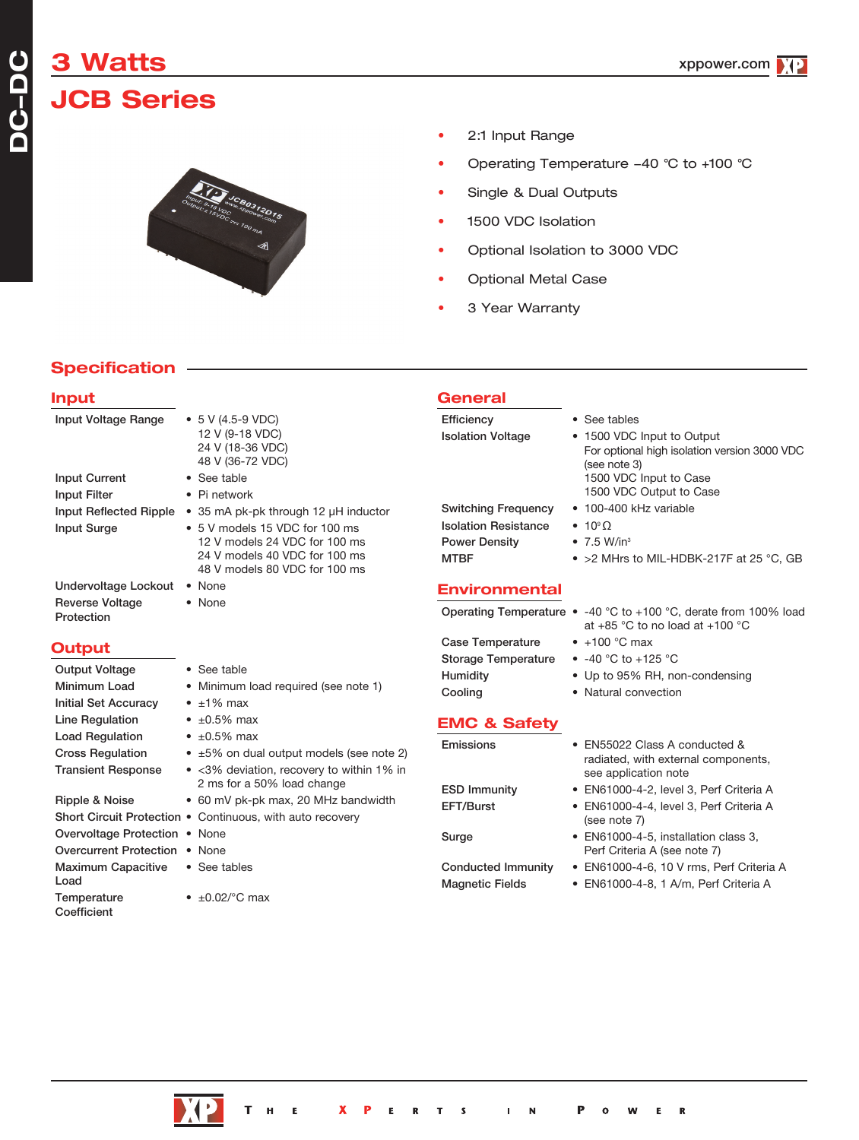# **3 Watts**

# **JCB Series**



- 2:1 Input Range
- Operating Temperature -40 °C to +100 °C
- Single & Dual Outputs
- 1500 VDC Isolation
- Optional Isolation to 3000 VDC
- Optional Metal Case
- 3 Year Warranty

### **Specification**

#### **Input**

**DC** $\overline{\phantom{a}}$ **DC**

| Input Voltage Range                  | $\bullet$ 5 V (4.5-9 VDC)<br>12 V (9-18 VDC)<br>24 V (18-36 VDC)<br>48 V (36-72 VDC)                                                      |
|--------------------------------------|-------------------------------------------------------------------------------------------------------------------------------------------|
| <b>Input Current</b>                 | • See table                                                                                                                               |
| <b>Input Filter</b>                  | $\bullet$ Pi network                                                                                                                      |
| Input Reflected Ripple               | • 35 mA pk-pk through 12 µH inductor                                                                                                      |
| <b>Input Surge</b>                   | $\bullet$ 5 V models 15 VDC for 100 ms<br>12 V models 24 VDC for 100 ms<br>24 V models 40 VDC for 100 ms<br>48 V models 80 VDC for 100 ms |
| Undervoltage Lockout                 | • None                                                                                                                                    |
| <b>Reverse Voltage</b><br>Protection | • None                                                                                                                                    |

#### **Output**

| <b>Output Voltage</b>                   | • See table                                                             |
|-----------------------------------------|-------------------------------------------------------------------------|
| Minimum Load                            | • Minimum load required (see note 1)                                    |
| <b>Initial Set Accuracy</b>             | $\bullet$ $\pm$ 1% max                                                  |
| Line Regulation                         | • $\pm 0.5\%$ max                                                       |
| <b>Load Regulation</b>                  | $\bullet$ ±0.5% max                                                     |
| <b>Cross Regulation</b>                 | $\bullet$ $\pm 5\%$ on dual output models (see note 2)                  |
| <b>Transient Response</b>               | • <3% deviation, recovery to within 1% in<br>2 ms for a 50% load change |
| Ripple & Noise                          | • 60 mV pk-pk max, 20 MHz bandwidth                                     |
|                                         | Short Circuit Protection . Continuous, with auto recovery               |
| Overvoltage Protection • None           |                                                                         |
| Overcurrent Protection • None           |                                                                         |
| Maximum Capacitive • See tables<br>Load |                                                                         |
| Temperature                             | • $\pm 0.02$ /°C max                                                    |

**Coefficient** 

#### **General** Efficiency • See tables

Isolation Voltage • 1500 VDC Input to Output For optional high isolation version 3000 VDC (see note 3) 1500 VDC Input to Case 1500 VDC Output to Case Switching Frequency • 100-400 kHz variable Isolation Resistance • 10° Ω<br>Power Density • 7.5 W/in<sup>3</sup> Power Density MTBF • >2 MHrs to MIL-HDBK-217F at 25 °C, GB

#### **Environmental**

|                     | Operating Temperature $\bullet$ -40 °C to +100 °C, derate from 100% load<br>at +85 °C to no load at +100 °C |
|---------------------|-------------------------------------------------------------------------------------------------------------|
| Case Temperature    | $\bullet$ +100 °C max                                                                                       |
| Storage Temperature | • $-40$ °C to $+125$ °C                                                                                     |
| Humidity            | • Up to 95% RH, non-condensing                                                                              |
| Cooling             | • Natural convection                                                                                        |
|                     |                                                                                                             |

#### **EMC & Safety**

| Emissions                 | • EN55022 Class A conducted &<br>radiated, with external components,<br>see application note |
|---------------------------|----------------------------------------------------------------------------------------------|
| <b>ESD Immunity</b>       | • EN61000-4-2, level 3, Perf Criteria A                                                      |
| EFT/Burst                 | • EN61000-4-4, level 3, Perf Criteria A<br>(see note 7)                                      |
| Surge                     | • EN61000-4-5, installation class 3,<br>Perf Criteria A (see note 7)                         |
| <b>Conducted Immunity</b> | • EN61000-4-6, 10 V rms, Perf Criteria A                                                     |
| <b>Magnetic Fields</b>    | • EN61000-4-8, 1 A/m, Perf Criteria A                                                        |
|                           |                                                                                              |